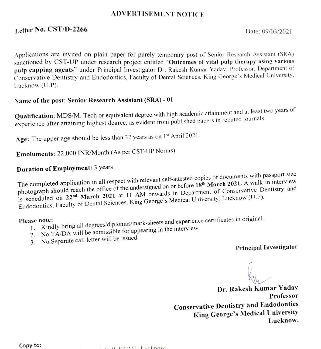## ADVERTISEMENT NOTICE

# Letter No. CST/D-2266 Date: 09/03/2021

Applications are invited on plain paper for purely temporary post of Senior Research Assistant (SRA) sanctioned by CST-UP under research project entitled "Outeomes of vital pulp therapy using various pulp capping agents" under Principal Investigator Dr. Rakesh Kumar Yadav, Professor, Department of Conservative Dentistry and Endodontics, Faculty of Dental Sciences. King George's Medical University, Lueknow (U.P).

### Name of the post: Senior Research Assistant (SRA) - 01

Qualification: MDS/M. Tech or equivalent degree with high academic attainment and at least two years of experience after attaining highest degree, as evident from published papers in reputed journals.

Age: The upper age should be less than 32 years as on  $1<sup>st</sup>$  April 2021.

Emoluments: 22,000 INR/Month (As per CST-UP Norms)

# Duration of Employment: 3 years

The completed application in all respect with relevant self-attested copies of documents with passport size photograph should reach the office of the undersigned on or before 18<sup>th</sup> March 2021. A walk-in interview is scheduled on 22<sup>nd</sup> March 2021 at 11 AM onwards in Department of Conservative Dentistry and Endodontics, Faculty of Dental Sciences, King George's Medical University, Lucknow (U.P).

- Please note:<br>1. Kindly bring all degrees/diplomas/mark-sheets and experience certificates in original.
	- 2. No TA/DA will be admissible for appearing in the interview.
	- 2. No TA/DA will be admissive for T<sub>1</sub>

# Principal Investigator

Dr. Rakesh Kumar Yadav Professor Conservative Dentistry and Endodontics King George's Medical University Lucknow.